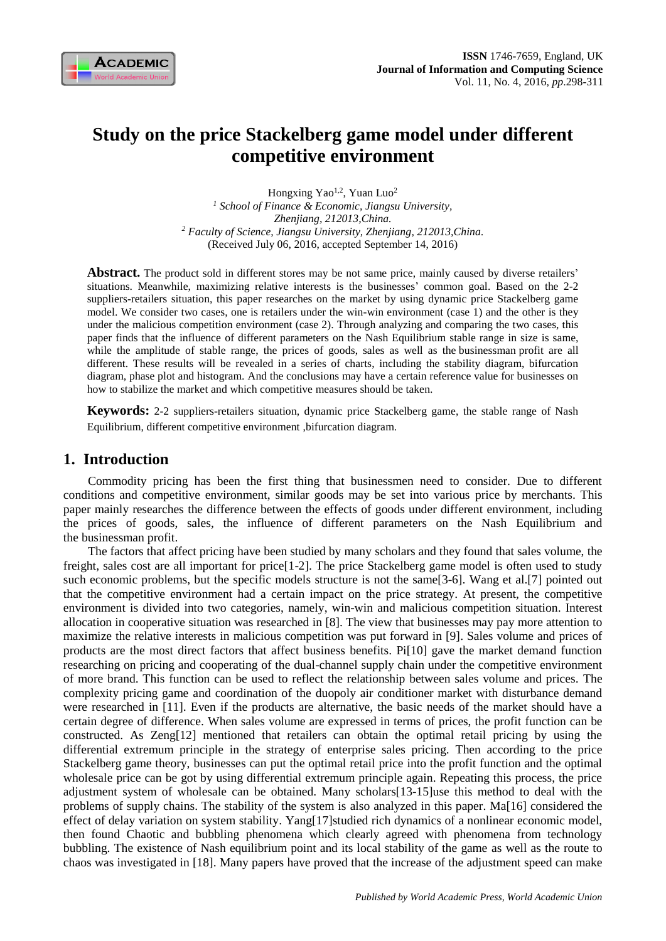

# **Study on the price Stackelberg game model under different competitive environment**

Hongxing Yao<sup>1,2</sup>, Yuan Luo<sup>2</sup> *<sup>1</sup> School of Finance & Economic, Jiangsu University, Zhenjiang, 212013,China. <sup>2</sup> Faculty of Science, Jiangsu University, Zhenjiang, 212013,China.* (Received July 06, 2016, accepted September 14, 2016)

Abstract. The product sold in different stores may be not same price, mainly caused by diverse retailers' situations. Meanwhile, maximizing relative interests is the businesses' common goal. Based on the 2-2 suppliers-retailers situation, this paper researches on the market by using dynamic price Stackelberg game model. We consider two cases, one is retailers under the win-win environment (case 1) and the other is they under the malicious competition environment (case 2). Through analyzing and comparing the two cases, this paper finds that the influence of different parameters on the Nash Equilibrium stable range in size is same, while the amplitude of stable range, the prices of goods, sales as well as the businessman profit are all different. These results will be revealed in a series of charts, including the stability diagram, bifurcation diagram, phase plot and histogram. And the conclusions may have a certain reference value for businesses on how to stabilize the market and which competitive measures should be taken.

**Keywords:** 2-2 suppliers-retailers situation, dynamic price Stackelberg game, the stable range of Nash Equilibrium, different competitive environment ,bifurcation diagram.

# **1. Introduction**

Commodity pricing has been the first thing that businessmen need to consider. Due to different conditions and competitive environment, similar goods may be set into various price by merchants. This paper mainly researches the difference between the effects of goods under different environment, including the prices of goods, sales, the influence of different parameters on the Nash Equilibrium and the businessman profit.

The factors that affect pricing have been studied by many scholars and they found that sales volume, the freight, sales cost are all important for price[1-2]. The price Stackelberg game model is often used to study such economic problems, but the specific models structure is not the same[3-6]. Wang et al.[7] pointed out that the competitive environment had a certain impact on the price strategy. At present, the competitive environment is divided into two categories, namely, win-win and malicious competition situation. Interest allocation in cooperative situation was researched in [8]. The view that businesses may pay more attention to maximize the relative interests in malicious competition was put forward in [9]. Sales volume and prices of products are the most direct factors that affect business benefits. Pi[10] gave the market demand function researching on pricing and cooperating of the dual-channel supply chain under the competitive environment of more brand. This function can be used to reflect the relationship between sales volume and prices. The complexity pricing game and coordination of the duopoly air conditioner market with disturbance demand were researched in [11]. Even if the products are alternative, the basic needs of the market should have a certain degree of difference. When sales volume are expressed in terms of prices, the profit function can be constructed. As Zeng[12] mentioned that retailers can obtain the optimal retail pricing by using the differential extremum principle in the strategy of enterprise sales pricing. Then according to the price Stackelberg game theory, businesses can put the optimal retail price into the profit function and the optimal wholesale price can be got by using differential extremum principle again. Repeating this process, the price adjustment system of wholesale can be obtained. Many scholars[13-15]use this method to deal with the problems of supply chains. The stability of the system is also analyzed in this paper. Ma[16] considered the effect of delay variation on system stability. Yang[17]studied rich dynamics of a nonlinear economic model, then found Chaotic and bubbling phenomena which clearly agreed with phenomena from technology bubbling. The existence of Nash equilibrium point and its local stability of the game as well as the route to chaos was investigated in [18]. Many papers have proved that the increase of the adjustment speed can make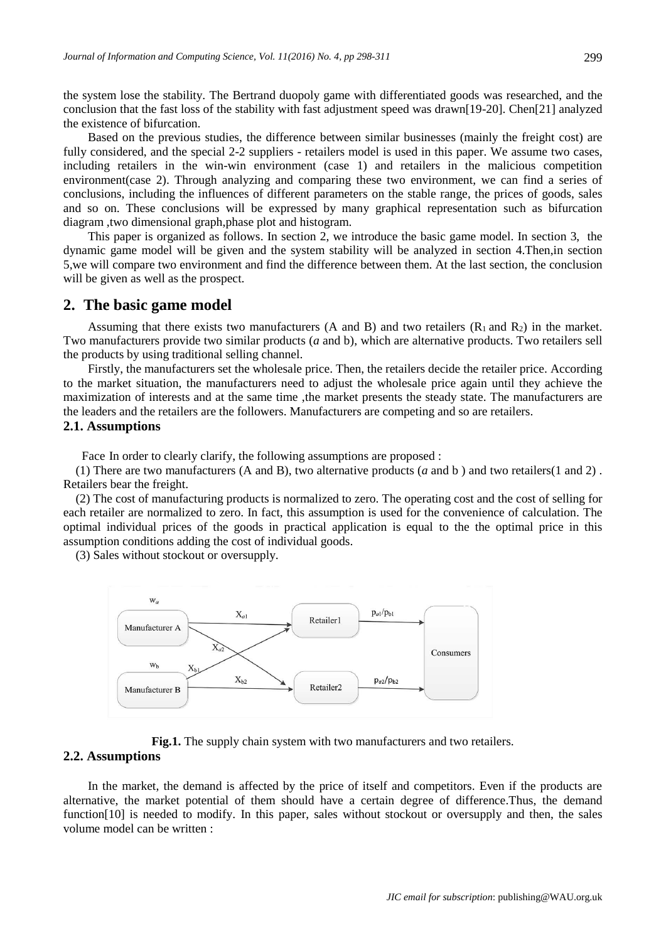the system lose the stability. The Bertrand duopoly game with differentiated goods was researched, and the conclusion that the fast loss of the stability with fast adjustment speed was drawn[19-20]. Chen[21] analyzed the existence of bifurcation.

Based on the previous studies, the difference between similar businesses (mainly the freight cost) are fully considered, and the special 2-2 suppliers - retailers model is used in this paper. We assume two cases, including retailers in the win-win environment (case 1) and retailers in the malicious competition environment(case 2). Through analyzing and comparing these two environment, we can find a series of conclusions, including the influences of different parameters on the stable range, the prices of goods, sales and so on. These conclusions will be expressed by many graphical representation such as bifurcation diagram ,two dimensional graph,phase plot and histogram.

This paper is organized as follows. In section 2, we introduce the basic game model. In section 3, the dynamic game model will be given and the system stability will be analyzed in section 4.Then,in section 5,we will compare two environment and find the difference between them. At the last section, the conclusion will be given as well as the prospect.

## **2. The basic game model**

Assuming that there exists two manufacturers (A and B) and two retailers  $(R_1 \text{ and } R_2)$  in the market. Two manufacturers provide two similar products (*a* and b), which are alternative products. Two retailers sell the products by using traditional selling channel.

Firstly, the manufacturers set the wholesale price. Then, the retailers decide the retailer price. According to the market situation, the manufacturers need to adjust the wholesale price again until they achieve the maximization of interests and at the same time ,the market presents the steady state. The manufacturers are the leaders and the retailers are the followers. Manufacturers are competing and so are retailers.

#### **2.1. Assumptions**

Face In order to clearly clarify, the following assumptions are proposed :

(1) There are two manufacturers (A and B), two alternative products (*a* and b ) and two retailers(1 and 2) . Retailers bear the freight.

(2) The cost of manufacturing products is normalized to zero. The operating cost and the cost of selling for each retailer are normalized to zero. In fact, this assumption is used for the convenience of calculation. The optimal individual prices of the goods in practical application is equal to the the optimal price in this assumption conditions adding the cost of individual goods.

(3) Sales without stockout or oversupply.



Fig.1. The supply chain system with two manufacturers and two retailers.

#### **2.2. Assumptions**

In the market, the demand is affected by the price of itself and competitors. Even if the products are alternative, the market potential of them should have a certain degree of difference.Thus, the demand function[10] is needed to modify. In this paper, sales without stockout or oversupply and then, the sales volume model can be written :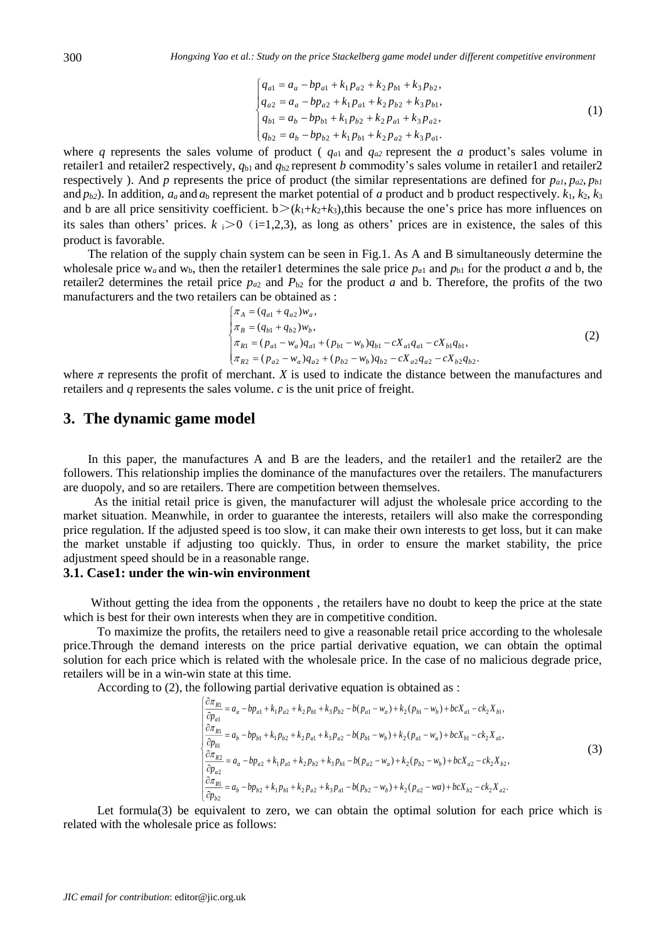$$
\begin{cases}\n q_{a1} = a_a - bp_{a1} + k_1 p_{a2} + k_2 p_{b1} + k_3 p_{b2}, \n q_{a2} = a_a - bp_{a2} + k_1 p_{a1} + k_2 p_{b2} + k_3 p_{b1}, \n q_{b1} = a_b - bp_{b1} + k_1 p_{b2} + k_2 p_{a1} + k_3 p_{a2}, \n q_{b2} = a_b - bp_{b2} + k_1 p_{b1} + k_2 p_{a2} + k_3 p_{a1}.\n\end{cases}
$$
\n(1)

where *q* represents the sales volume of product ( $q_{a1}$  and  $q_{a2}$  represent the *a* product's sales volume in retailer1 and retailer2 respectively,  $q_{b1}$  and  $q_{b2}$  represent *b* commodity's sales volume in retailer1 and retailer2 respectively). And *p* represents the price of product (the similar representations are defined for  $p_{a1}$ ,  $p_{a2}$ ,  $p_{b1}$ and  $p_{b2}$ ). In addition,  $a_a$  and  $a_b$  represent the market potential of *a* product and b product respectively.  $k_1$ ,  $k_2$ ,  $k_3$ and b are all price sensitivity coefficient.  $b > (k_1+k_2+k_3)$ , this because the one's price has more influences on its sales than others' prices.  $k_i>0$  (i=1,2,3), as long as others' prices are in existence, the sales of this product is favorable.

The relation of the supply chain system can be seen in Fig.1. As A and B simultaneously determine the wholesale price  $w_a$  and  $w_b$ , then the retailer1 determines the sale price  $p_{a1}$  and  $p_{b1}$  for the product *a* and b, the retailer2 determines the retail price  $p_{a2}$  and  $P_{b2}$  for the product *a* and b. Therefore, the profits of the two manufacturers and the two retailers can be obtained as :

$$
\begin{cases}\n\pi_A = (q_{a1} + q_{a2})w_a, \\
\pi_B = (q_{b1} + q_{b2})w_b, \\
\pi_{R1} = (p_{a1} - w_a)q_{a1} + (p_{b1} - w_b)q_{b1} - cX_{a1}q_{a1} - cX_{b1}q_{b1}, \\
\pi_{R2} = (p_{a2} - w_a)q_{a2} + (p_{b2} - w_b)q_{b2} - cX_{a2}q_{a2} - cX_{b2}q_{b2}.\n\end{cases}
$$
\n(2)

where  $\pi$  represents the profit of merchant. *X* is used to indicate the distance between the manufactures and retailers and *q* represents the sales volume. *c* is the unit price of freight.

## **3. The dynamic game model**

In this paper, the manufactures A and B are the leaders, and the retailer1 and the retailer2 are the followers. This relationship implies the dominance of the manufactures over the retailers. The manufacturers are duopoly, and so are retailers. There are competition between themselves.

 As the initial retail price is given, the manufacturer will adjust the wholesale price according to the market situation. Meanwhile, in order to guarantee the interests, retailers will also make the corresponding price regulation. If the adjusted speed is too slow, it can make their own interests to get loss, but it can make the market unstable if adjusting too quickly. Thus, in order to ensure the market stability, the price adjustment speed should be in a reasonable range.

## **3.1. Case1: under the win-win environment**

Without getting the idea from the opponents , the retailers have no doubt to keep the price at the state which is best for their own interests when they are in competitive condition.

 To maximize the profits, the retailers need to give a reasonable retail price according to the wholesale price.Through the demand interests on the price partial derivative equation, we can obtain the optimal solution for each price which is related with the wholesale price. In the case of no malicious degrade price, retailers will be in a win-win state at this time.

According to (2), the following partial derivative equation is obtained as :

$$
\begin{cases}\n\frac{\partial \pi_{R1}}{\partial p_{a1}} = a_a - bp_{a1} + k_1 p_{a2} + k_2 p_{b1} + k_3 p_{b2} - b(p_{a1} - w_a) + k_2 (p_{b1} - w_b) + bcX_{a1} - ck_2 X_{b1}, \\
\frac{\partial \pi_{R1}}{\partial p_{b1}} = a_b - bp_{b1} + k_1 p_{b2} + k_2 p_{a1} + k_3 p_{a2} - b(p_{b1} - w_b) + k_2 (p_{a1} - w_a) + bcX_{b1} - ck_2 X_{a1}, \\
\frac{\partial \pi_{R2}}{\partial p_{a2}} = a_a - bp_{a2} + k_1 p_{a1} + k_2 p_{b2} + k_3 p_{b1} - b(p_{a2} - w_a) + k_2 (p_{b2} - w_b) + bcX_{a2} - ck_2 X_{b2}, \\
\frac{\partial \pi_{R1}}{\partial p_{b2}} = a_b - bp_{b2} + k_1 p_{b1} + k_2 p_{a2} + k_3 p_{a1} - b(p_{b2} - w_b) + k_2 (p_{a2} - wa) + bcX_{b2} - ck_2 X_{a2}.\n\end{cases}
$$
\n(3)

Let formula(3) be equivalent to zero, we can obtain the optimal solution for each price which is related with the wholesale price as follows: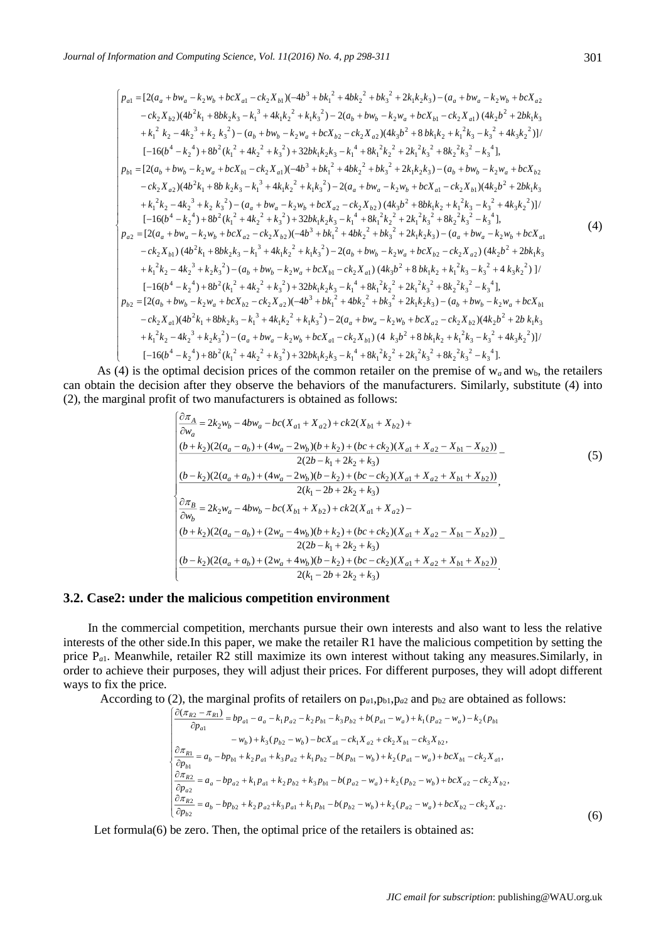$$
\begin{bmatrix}\np_{a1} = [2(a_a + bw_a - k_2w_b + bcX_{a1} - ck_2X_{b1})(-4b^3 + bk_1^2 + 4bk_2^2 + bk_3^2 + 2k_1k_2k_3) - (a_a + bw_a - k_2w_b + bcX_{a2} \\
- ck_2X_{b2})(4b^2k_1 + 8bk_2k_3 - k_1^3 + 4k_1k_2^2 + k_1k_3^2) - 2(a_b + bw_b - k_2w_a + bcX_{b1} - ck_2X_{a1})(4k_2b^2 + 2bk_1k_3 + k_1^2k_2 - 4k_2^3 + k_2k_3^2) - (a_b + bw_b - k_2w_a + bcX_{b2} - ck_2X_{a2})(4k_3b^2 + 8bk_1k_2 + k_1^2k_3 - k_3^2 + 4k_3k_2^2)]/\n[-16(b^4 - k_2^4) + 8b^2(k_1^2 + 4k_2^2 + k_3^2) + 32bk_1k_2k_3 - k_1^4 + 8k_1^2k_2^2 + 2k_1^2k_3^2 + 8k_2^2k_3^2 - k_3^4],\np_{b1} = [2(a_b + bw_b - k_2w_a + bcX_{b1} - ck_2X_{a1})(-4b^3 + bk_1^2 + 4bk_2^2 + bk_3^2 + 2k_1k_2k_3) - (a_b + bw_b - k_2w_a + bcX_{b2} - ck_2X_{a2})(4b^2k_1 + 8b k_2k_3 - k_1^3 + 4k_1k_2^2 + k_1k_3^2) - 2(a_a + bw_a - k_2w_b + bcX_{a1} - ck_2X_{b1})(4k_2b^2 + 2bk_1k_3 + k_1^2k_2 - 4k_2^3 + k_2^2k_3^2) - (a_a + bw_a - k_2w_b + bcX_{a1} - ck_2X_{b1})(4k_2b^2 + 2bk_1k_3 + k_1^2k_2 - 4k_2^3 + k_2^2k_3^2) - (a_a + bw_a - k_2w_b + bcX_{a2} - ck_2X_{b2})(4k_3b^2 + 8bk_1k_2 + k_1^2k_3 - k
$$

As (4) is the optimal decision prices of the common retailer on the premise of  $w_a$  and  $w_b$ , the retailers can obtain the decision after they observe the behaviors of the manufacturers. Similarly, substitute (4) into (2), the marginal profit of two manufacturers is obtained as follows:

$$
\begin{cases}\n\frac{\partial \pi_A}{\partial w_a} = 2k_2w_b - 4bw_a - bc(X_{a1} + X_{a2}) + ck2(X_{b1} + X_{b2}) + \\
\frac{(b+k_2)(2(a_a - a_b) + (4w_a - 2w_b)(b+k_2) + (bc + ck_2)(X_{a1} + X_{a2} - X_{b1} - X_{b2}))}{2(2b - k_1 + 2k_2 + k_3)} - \\
\frac{(b-k_2)(2(a_a + a_b) + (4w_a - 2w_b)(b - k_2) + (bc - ck_2)(X_{a1} + X_{a2} + X_{b1} + X_{b2}))}{2(k_1 - 2b + 2k_2 + k_3)}, \\
\frac{\partial \pi_B}{\partial w_b} = 2k_2w_a - 4bw_b - bc(X_{b1} + X_{b2}) + ck2(X_{a1} + X_{a2}) - \\
\frac{(b+k_2)(2(a_a - a_b) + (2w_a - 4w_b)(b + k_2) + (bc + ck_2)(X_{a1} + X_{a2} - X_{b1} - X_{b2}))}{2(2b - k_1 + 2k_2 + k_3)} - \\
\frac{(b-k_2)(2(a_a + a_b) + (2w_a + 4w_b)(b - k_2) + (bc - ck_2)(X_{a1} + X_{a2} + X_{b1} + X_{b2}))}{2(k_1 - 2b + 2k_2 + k_3)}.\n\end{cases}
$$
\n(5)

## **3.2. Case2: under the malicious competition environment**

In the commercial competition, merchants pursue their own interests and also want to less the relative interests of the other side.In this paper, we make the retailer R1 have the malicious competition by setting the price P*a*1. Meanwhile, retailer R2 still maximize its own interest without taking any measures.Similarly, in order to achieve their purposes, they will adjust their prices. For different purposes, they will adopt different ways to fix the price.

According to (2), the marginal profits of retailers on  $p_{a1}, p_{b1}, p_{a2}$  and  $p_{b2}$  are obtained as follows:

$$
\begin{cases}\n\frac{\partial(\pi_{R2} - \pi_{R1})}{\partial p_{a1}} = bp_{a1} - a_a - k_1 p_{a2} - k_2 p_{b1} - k_3 p_{b2} + b(p_{a1} - w_a) + k_1 (p_{a2} - w_a) - k_2 (p_{b1} - w_{b1}) + k_3 (p_{b2} - w_b) - bcX_{a1} - ck_1 X_{a2} + ck_2 X_{b1} - ck_3 X_{b2}, \\
\frac{\partial \pi_{R1}}{\partial p_{b1}} = a_b - bp_{b1} + k_2 p_{a1} + k_3 p_{a2} + k_1 p_{b2} - b(p_{b1} - w_b) + k_2 (p_{a1} - w_a) + bcX_{b1} - ck_2 X_{a1}, \\
\frac{\partial \pi_{R2}}{\partial p_{a2}} = a_a - bp_{a2} + k_1 p_{a1} + k_2 p_{b2} + k_3 p_{b1} - b(p_{a2} - w_a) + k_2 (p_{b2} - w_b) + bcX_{a2} - ck_2 X_{b2}, \\
\frac{\partial \pi_{R2}}{\partial p_{b2}} = a_b - bp_{b2} + k_2 p_{a2} + k_3 p_{a1} + k_1 p_{b1} - b(p_{b2} - w_b) + k_2 (p_{a2} - w_a) + bcX_{b2} - ck_2 X_{a2}.\n\end{cases}
$$
\n(6)

Let formula(6) be zero. Then, the optimal price of the retailers is obtained as: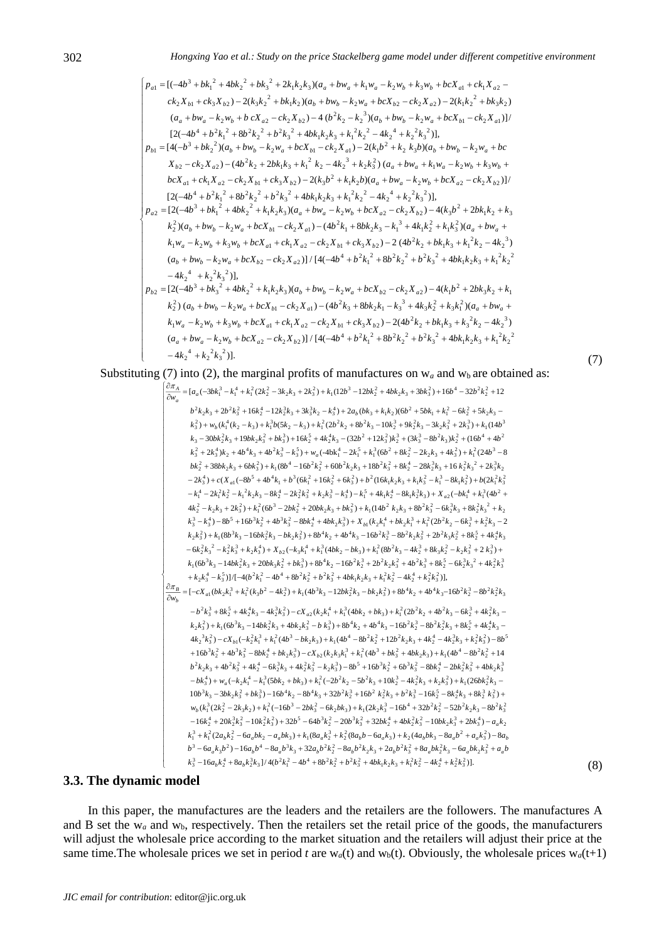$$
\begin{bmatrix}\np_{a1} = [(-4b^3 + bk_1^2 + 4bk_2^2 + bk_3^2 + 2k_1k_2k_3)(a_a + bw_a + k_1w_a - k_2w_b + k_3w_b + b cX_{a1} + ck_1X_{a2} - ck_2X_{b1} + ck_3X_{b2}) - 2(k_3k_2^2 + bk_1k_2)(a_b + bw_b - k_2w_a + b cX_{b2} - ck_2X_{a2}) - 2(k_1k_2^2 + bk_3k_2) \\
(a_a + bw_a - k_2w_b + b cX_{a2} - ck_2X_{b2}) - 4 (b^2k_2 - k_2^3)(a_b + bw_b - k_2w_a + b cX_{b1} - ck_2X_{a1})]/\n\n[2(-4b^4 + b^2k_1^2 + 8b^2k_2^2 + b^2k_3^2 + 4bk_1k_2k_3 + k_1^2k_2^2 - 4k_2^4 + k_2^2k_3^2)],\n\n
$$
p_{b1} = [4(-b^3 + bk_2^2)(a_b + bw_b - k_2w_a + b cX_{b1} - ck_2X_{a1}) - 2(k_1b^2 + k_2 k_3b)(a_b + bw_b - k_2w_a + bcX_{b2} - ck_2X_{a2}) - (4b^2k_2 + 2bk_1k_3 + k_1^2k_2 - 4k_2^3 + k_2k_3^2)(a_a + bw_a + k_1w_a - k_2w_b + k_3w_b + bcX_{a1} + ck_1X_{a2} - ck_2X_{b1} + ck_3X_{b2}) - 2(k_3b^2 + k_1k_2b)(a_a + bw_a - k_2w_b + b cX_{a2} - ck_2X_{b2})]/\n\n[2(-4b^3 + b^2k_1^2 + 8b^2k_2^2 + b^2k_3^2 + 4bk_1k_2k_3 + k_1^2k_2^2 - 4k_2^4 + k_2^2k_3^2)],\n\n
$$
p_{a2} = [2(-4b^3 + bk_1^2 + 4bk_2^2 + k_1k_2k_3)(a_a + bw_a - k_2w_b + b cX_{a2} - ck_2X_{b2}) - 4(k_3b^2 + 2bk
$$
$$
$$

Substituting (7) into (2), the marginal profits of manufactures on  $w_a$  and  $w_b$  are obtained as:

(7)

(8)

(7) into (2), the marginal profits of manufacturers on w<sub>a</sub> and w<sub>b</sub> are obtain  
\n
$$
\begin{bmatrix}\n\frac{\partial \pi_A}{\partial w_a} = [a_a(-3bk)^3 - k_1^4 + k_1^2(2k_2^2 - 3k_2k_3 + 2k_3^2) + k_1(12b^3 - 12bk_2^2 + 4bk_2k_3 + 3bk_3^2) + 16b^4 - 32b^2k_2^2 + 12\\
b^2k_2k_3 + 2b^2k_3^2 + 16k_2^4 - 12k_2^3k_3 + 3k_3^2k_2 - k_3^4) + 2a_b(bk_3 + k_1k_2)(6b^2 + 5bk_1 + k_1^2 - 6k_2^2 + 5k_2k_3 - k_3^2) + k_1^2(6k_2 - k_3) + k_1^2(2b^2k_2 + 8b^2k_3 - 10k_2^3 + 9k_2^2k_3 - 3k_2k_3^2 + 2k_3^3) + k_1(14b^3 - k_3 - 30bk_2^2k_3 + 19bk_2^2 + 3k_3^3) + 16k_2^2 + 4k_2^4k_3 - (32b^2 + 12k_3^2)k_2^3 + (3k_3^3 - 8b^2k_3)k_2^2 + (16b^4 + 4b^2 - k_3^2 + 8k_2^2 + 3k_3^2) + k_1(8b^4 - 16b^2k_2^2 + 6k_3^2) + k_1(8b^4 - 2k_1^2 + k_1^2(6b^2 + 8k_2^2 - 2k_2k_3 + 4k_3^2) + k_1^2(24b^3 - 8k_2^2 + 38bk_2k_3 + 6bk_3^2 + k_1^2 + 8k_1^2 + 6k_1^2 + 6k_1^2 + 6k_1^2 + 6k_1^2 + 6k_1^2 + 6k_1^2 + 6k_1^2 + 6k_1^2 + 6k_1^2 + 6k_1^2 + 6k_1^2 + 6k_1^2 + 6k_1^2 + 8k_1^2 - 2k_2k_3 +
$$

## **3.3. The dynamic model**

In this paper, the manufactures are the leaders and the retailers are the followers. The manufactures A and B set the w<sub>a</sub> and w<sub>b</sub>, respectively. Then the retailers set the retail price of the goods, the manufacturers will adjust the wholesale price according to the market situation and the retailers will adjust their price at the same time. The wholesale prices we set in period *t* are  $w_a(t)$  and  $w_b(t)$ . Obviously, the wholesale prices  $w_a(t+1)$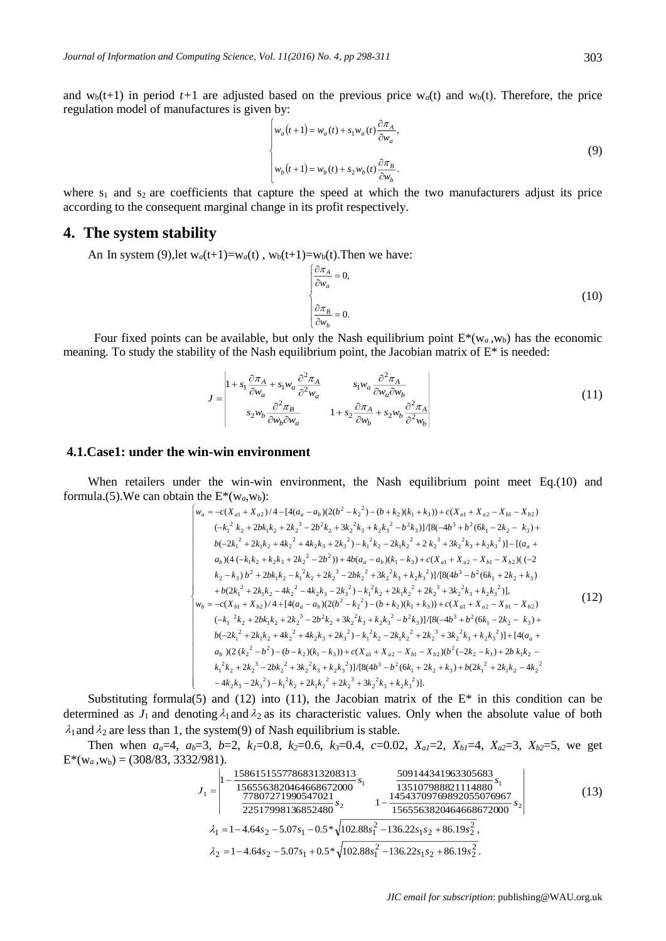and  $w_b(t+1)$  in period  $t+1$  are adjusted based on the previous price  $w_a(t)$  and  $w_b(t)$ . Therefore, the price regulation model of manufactures is given by:

$$
\begin{cases}\nw_a(t+1) = w_a(t) + s_1 w_a(t) \frac{\partial \pi_A}{\partial w_a}, \\
w_b(t+1) = w_b(t) + s_2 w_b(t) \frac{\partial \pi_B}{\partial w_b}.\n\end{cases}
$$
\n(9)

where  $s_1$  and  $s_2$  are coefficients that capture the speed at which the two manufacturers adjust its price according to the consequent marginal change in its profit respectively.

## **4. The system stability**

An In system (9), let  $w_a(t+1)=w_a(t)$ ,  $w_b(t+1)=w_b(t)$ . Then we have:

$$
\begin{cases}\n\frac{\partial \pi_A}{\partial w_a} = 0, \\
\frac{\partial \pi_B}{\partial w_b} = 0.\n\end{cases}
$$
\n(10)

Four fixed points can be available, but only the Nash equilibrium point  $E^*(w_a, w_b)$  has the economic meaning. To study the stability of the Nash equilibrium point, the Jacobian matrix of  $E^*$  is needed:

$$
J = \begin{vmatrix} 1 + s_1 \frac{\partial \pi_A}{\partial w_a} + s_1 w_a \frac{\partial^2 \pi_A}{\partial^2 w_a} & s_1 w_a \frac{\partial^2 \pi_A}{\partial w_a \partial w_b} \\ s_2 w_b \frac{\partial^2 \pi_B}{\partial w_b \partial w_a} & 1 + s_2 \frac{\partial \pi_A}{\partial w_b} + s_2 w_b \frac{\partial^2 \pi_A}{\partial^2 w_b} \end{vmatrix}
$$
(11)

#### **4.1.Case1: under the win-win environment**

When retailers under the win-win environment, the Nash equilibrium point meet Eq.(10) and formula.(5). We can obtain the  $E^*(w_a, w_b)$ :

$$
\begin{bmatrix}\nw_a = -c(X_{a1} + X_{a2})/4 - [4(a_a - a_b)(2(b^2 - k_2^2) - (b + k_2)(k_1 + k_3)) + c(X_{a1} + X_{a2} - X_{b1} - X_{b2}) \\
(-k_1^2 k_2 + 2bk_1k_2 + 2k_2^3 - 2b^2k_2 + 3k_2^2k_3 + k_2k_3^2 - b^2k_3)]/[8(-4b^3 + b^2(6k_1 - 2k_2 - k_3) + b(-2k_1^2 + 2k_1k_2 + 4k_2^2 + 4k_2k_3 + 2k_3^2) - k_1^2k_2 - 2k_1k_2^2 + 2k_2^3 + 3k_2^2k_3 + k_2k_3^2)] - [(a_a + a_b)(4(-k_1k_2 + k_2k_3 + 2k_2^2 - 2b^2)) + 4b(a_a - a_b)(k_1 - k_3) + c(X_{a1} + X_{a2} - X_{b1} - X_{b2})((-2k_2 - k_3)b^2 + 2bk_1k_2 - k_1^2k_2 + 2k_2^3 - 2bk_2^2 + 3k_2^2k_3 + k_2k_3^2)]/[8(4b^3 - b^2(6k_1 + 2k_2 + k_3) + b(2k_1^2 + 2k_1k_2 - 4k_2^2 - 4k_2k_3 - 2k_3^2) - k_1^2k_2 + 2k_1k_2^2 + 2k_2^3 + 3k_2^2k_3 + k_2k_3^2)],\n\begin{aligned}\n& w_b = -c(X_{b1} + X_{b2})/4 + [4(a_a - a_b)(2(b^2 - k_2^2) - (b + k_2)(k_1 + k_3)) + c(X_{a1} + X_{a2} - X_{b1} - X_{b2}) \\
&\quad (-k_1^2 k_2 + 2bk_1k_2 + 2k_2^3 - 2b^2k_2 + 3k_2^2k_3 + k_2k_3^2 - b^2k_3)]/[8(-4b^3 + b^2(6k_1 - 2k_2 - k_3) + b(-2k_1^2 + 2k_1k_2 + 4k_2^2 + 4k_2k_3 + 2k_
$$

Substituting formula(5) and (12) into (11), the Jacobian matrix of the  $E^*$  in this condition can be determined as  $J_1$  and denoting  $\lambda_1$  and  $\lambda_2$  as its characteristic values. Only when the absolute value of both  $\lambda_1$  and  $\lambda_2$  are less than 1, the system(9) of Nash equilibrium is stable.

Then when  $a_a=4$ ,  $a_b=3$ ,  $b=2$ ,  $k_l=0.8$ ,  $k_2=0.6$ ,  $k_3=0.4$ ,  $c=0.02$ ,  $X_{a,l}=2$ ,  $X_{b,l}=4$ ,  $X_{a2}=3$ ,  $X_{b2}=5$ , we get  $E^*(w_a, w_b) = (308/83, 3332/981).$ 

$$
J_{1} = \begin{vmatrix} 1 - \frac{15861515577868313208313}{1565563820464668672000} s_1 & \frac{509144341963305683}{135107988821114880} s_1 \\ \frac{77807271990547021}{22517998136852480} s_2 & 1 - \frac{14543709769892055076967}{1565563820464668672000} s_2 \\ \lambda_1 = 1 - 4.64s_2 - 5.07s_1 - 0.5 \sqrt{102.88s_1^2 - 136.22s_1s_2 + 86.19s_2^2}, \\ \lambda_2 = 1 - 4.64s_2 - 5.07s_1 + 0.5 \sqrt{102.88s_1^2 - 136.22s_1s_2 + 86.19s_2^2}. \end{vmatrix}
$$
(13)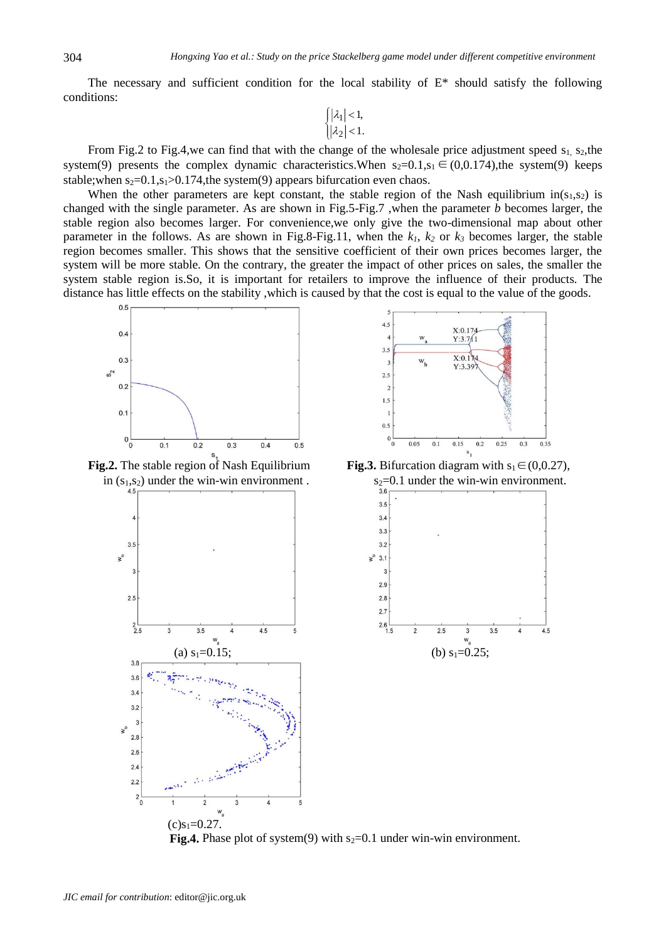The necessary and sufficient condition for the local stability of  $E^*$  should satisfy the following conditions:

$$
\begin{cases} |\lambda_1| < 1, \\ |\lambda_2| < 1. \end{cases}
$$

From Fig.2 to Fig.4,we can find that with the change of the wholesale price adjustment speed  $s_1$ ,  $s_2$ ,the system(9) presents the complex dynamic characteristics.When  $s_2=0.1$ ,  $s_1 \in (0,0.174)$ , the system(9) keeps stable; when  $s_2=0.1$ ,  $s_1>0.174$ , the system(9) appears bifurcation even chaos.

When the other parameters are kept constant, the stable region of the Nash equilibrium  $\text{in}(s_1,s_2)$  is changed with the single parameter. As are shown in Fig.5-Fig.7 ,when the parameter *b* becomes larger, the stable region also becomes larger. For convenience,we only give the two-dimensional map about other parameter in the follows. As are shown in Fig.8-Fig.11, when the  $k_1$ ,  $k_2$  or  $k_3$  becomes larger, the stable region becomes smaller. This shows that the sensitive coefficient of their own prices becomes larger, the system will be more stable. On the contrary, the greater the impact of other prices on sales, the smaller the system stable region is.So, it is important for retailers to improve the influence of their products. The distance has little effects on the stability ,which is caused by that the cost is equal to the value of the goods.



in  $(s_1, s_2)$  under the win-win environment.  $s_2=0.1$  under the win-win environment.



 $4.5$  $X:0.174$  $Y:3.711$  $3.5$  $X:0.174$ w<sub>t</sub>  $Y:3.39$  $2.5$  $\tilde{z}$  $1.5$  $0.5$  $0\frac{1}{0}$ 0.05  $0.1$  $0.15$  $0.2$  $0.25$  $0.3$ 0.35

**Fig.2.** The stable region of Nash Equilibrium **Fig.3.** Bifurcation diagram with  $s_1 \in (0,0.27)$ ,



**Fig.4.** Phase plot of system(9) with  $s_2=0.1$  under win-win environment.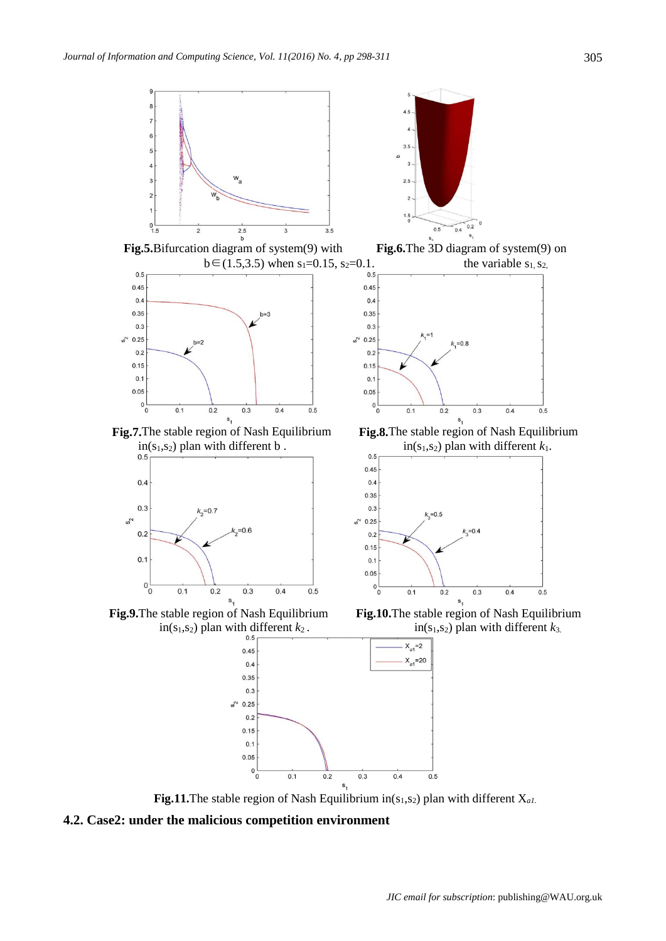

**Fig.11.**The stable region of Nash Equilibrium in( $s_1$ , $s_2$ ) plan with different  $X_{a1}$ .

**4.2. Case2: under the malicious competition environment**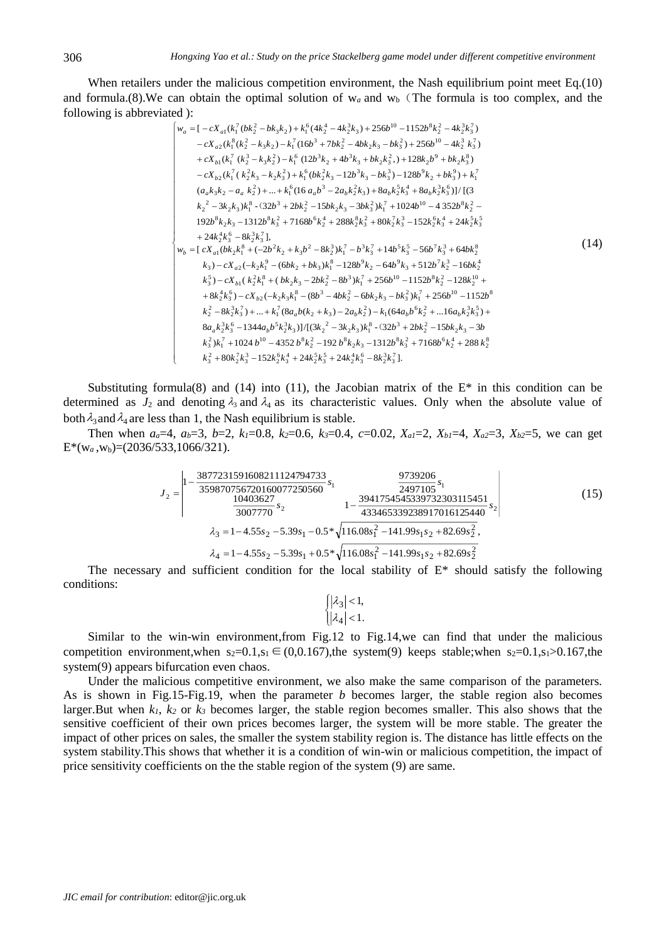When retailers under the malicious competition environment, the Nash equilibrium point meet Eq.(10) and formula.(8). We can obtain the optimal solution of  $w_a$  and  $w_b$  (The formula is too complex, and the following is abbreviated ):

$$
\begin{bmatrix}\nw_a = \left[ -cX_{a1}(k_1^7(bk_2^2 - bk_3k_2) + k_1^6(4k_2^4 - 4k_2^3k_3) + 256b^{10} - 1152b^8k_2^2 - 4k_2^3k_3^7 \right] \\
- cX_{a2}(k_1^8(k_2^2 - k_3k_2) - k_1^7(16b^3 + 7bk_2^2 - 4bk_2k_3 - bk_3^2) + 256b^{10} - 4k_2^3 k_3^7 \right) \\
+ cX_{b1}(k_1^7(k_2^3 - k_3k_2^2) - k_1^6(12b^3k_2 + 4b^3k_3 + bk_2k_3^2) + 128k_2b^9 + bk_2k_3^8) \\
- cX_{b2}(k_1^7(k_2^2k_3 - k_2k_3^2) + k_1^6(bk_2^2k_3 - 12b^3k_3 - bk_3^3) - 128b^9k_2 + bk_3^9) + k_1^7 \\
(a_ak_3k_2 - a_ak_2^2) + ... + k_1^6(16 a_ab^3 - 2a_bk_2^2k_3) + 8a_bk_2^5k_3^4 + 8a_bk_2^3k_3^6)\right]/[(3\n\end{bmatrix}
$$
\n
$$
k_2^2 - 3k_2k_3)k_1^8 - (32b^3 + 2bk_2^2 - 15bk_2k_3 - 3bk_3^2)k_1^7 + 1024b^{10} - 4352b^8k_2^2 - 192b^8k_2k_3 - 1312b^8k_3^2 + 7168b^6k_2^4 + 288k_2^8k_3^2 + 80k_2^2k_3^3 - 152k_2^6k_3^4 + 24k_2^5k_3^5 \\
+ 24k_2^4k_3^6 - 8k_2^3k_3^7],\n\end{bmatrix}
$$
\n
$$
w_b = \left[ cX_{a1}(bk_2k_1^8 + (-2b^2k_2 + k_3b^2 - 8k_2^3)k_1^7 - b^3k_3^7 + 14b^5k_3^
$$

Substituting formula(8) and (14) into (11), the Jacobian matrix of the  $E^*$  in this condition can be determined as  $J_2$  and denoting  $\lambda_3$  and  $\lambda_4$  as its characteristic values. Only when the absolute value of both  $\lambda_3$  and  $\lambda_4$  are less than 1, the Nash equilibrium is stable.

Then when  $a_a=4$ ,  $a_b=3$ ,  $b=2$ ,  $k_l=0.8$ ,  $k_2=0.6$ ,  $k_3=0.4$ ,  $c=0.02$ ,  $X_{a,l}=2$ ,  $X_{b,l}=4$ ,  $X_{a2}=3$ ,  $X_{b2}=5$ , we can get  $E^*(w_a, w_b) = (2036/533, 1066/321).$ 

$$
J_2 = \begin{vmatrix} 1 - \frac{3877231591608211124794733}{359870756720160077250560} s_1 & \frac{9739206}{2497105} s_1 \\ \frac{10403627}{3007770} s_2 & 1 - \frac{3941754545339732303115451}{433465339238917016125440} s_2 \end{vmatrix}
$$
(15)  
\n
$$
\lambda_3 = 1 - 4.55s_2 - 5.39s_1 - 0.5 \sqrt{116.08s_1^2 - 141.99s_1s_2 + 82.69s_2^2},
$$
\n
$$
\lambda_4 = 1 - 4.55s_2 - 5.39s_1 + 0.5 \sqrt{116.08s_1^2 - 141.99s_1s_2 + 82.69s_2^2}
$$

The necessary and sufficient condition for the local stability of  $E^*$  should satisfy the following conditions:

$$
\begin{cases} |\lambda_3| < 1, \\ |\lambda_4| < 1. \end{cases}
$$

Similar to the win-win environment,from Fig.12 to Fig.14,we can find that under the malicious competition environment,when  $s_2=0.1$ , $s_1 \in (0,0.167)$ ,the system(9) keeps stable;when  $s_2=0.1$ , $s_1>0.167$ ,the system(9) appears bifurcation even chaos.

Under the malicious competitive environment, we also make the same comparison of the parameters. As is shown in Fig.15-Fig.19, when the parameter *b* becomes larger, the stable region also becomes larger.But when *k1*, *k<sup>2</sup>* or *k<sup>3</sup>* becomes larger, the stable region becomes smaller. This also shows that the sensitive coefficient of their own prices becomes larger, the system will be more stable. The greater the impact of other prices on sales, the smaller the system stability region is. The distance has little effects on the system stability.This shows that whether it is a condition of win-win or malicious competition, the impact of price sensitivity coefficients on the the stable region of the system (9) are same.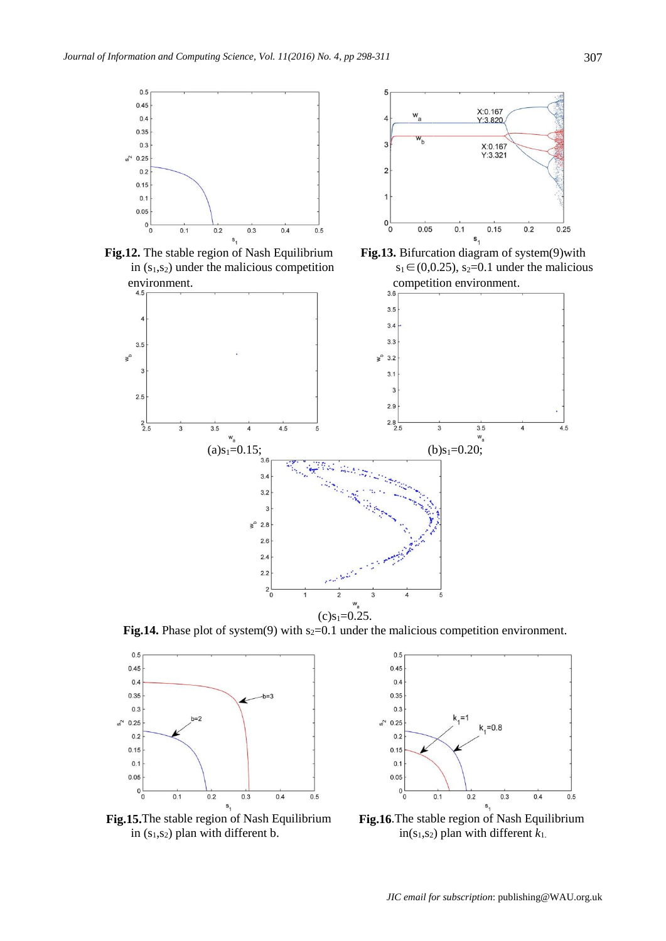

ł  $0_0<sup>L</sup>$  $0.05$ **Fig.12.** The stable region of Nash Equilibrium **Fig.13.** Bifurcation diagram of system(9)with

ŗ







**Fig.14.** Phase plot of system(9) with  $s_2=0.1$  under the malicious competition environment.



in  $(s_1, s_2)$  plan with different *b*. in $(s_1, s_2)$  plan with different  $k_1$ .



**Fig.15.**The stable region of Nash Equilibrium **Fig.16**.The stable region of Nash Equilibrium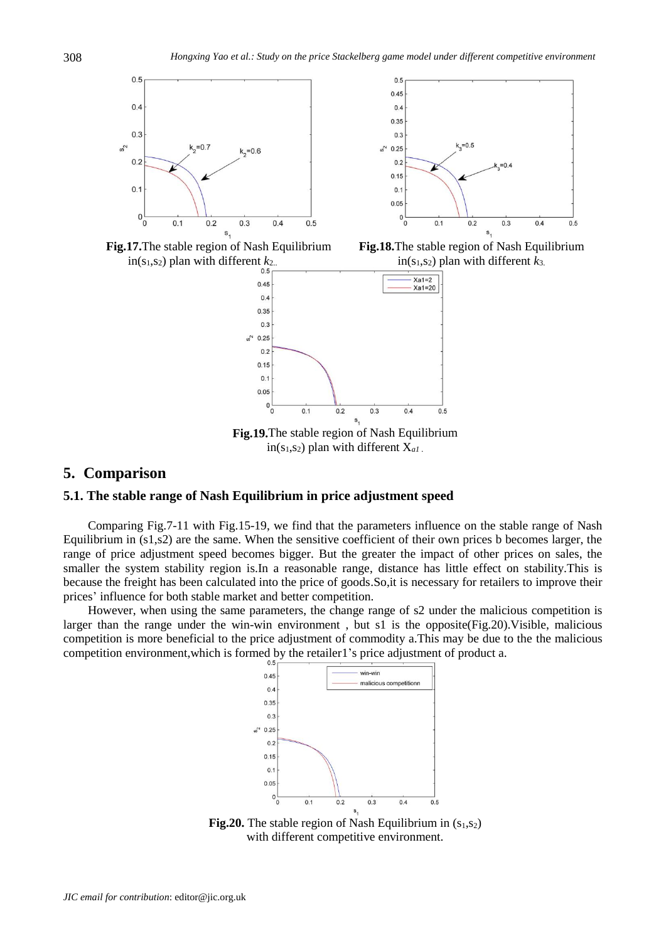







**Fig.19.**The stable region of Nash Equilibrium in( $s<sub>1</sub>,s<sub>2</sub>$ ) plan with different  $X<sub>al</sub>$ .

## **5. Comparison**

## **5.1. The stable range of Nash Equilibrium in price adjustment speed**

Comparing Fig.7-11 with Fig.15-19, we find that the parameters influence on the stable range of Nash Equilibrium in (s1,s2) are the same. When the sensitive coefficient of their own prices b becomes larger, the range of price adjustment speed becomes bigger. But the greater the impact of other prices on sales, the smaller the system stability region is.In a reasonable range, distance has little effect on stability.This is because the freight has been calculated into the price of goods.So,it is necessary for retailers to improve their prices' influence for both stable market and better competition.

However, when using the same parameters, the change range of s2 under the malicious competition is larger than the range under the win-win environment , but s1 is the opposite(Fig.20).Visible, malicious competition is more beneficial to the price adjustment of commodity a.This may be due to the the malicious competition environment,which is formed by the retailer1's price adjustment of product a.



**Fig.20.** The stable region of Nash Equilibrium in  $(s<sub>1</sub>,s<sub>2</sub>)$ with different competitive environment.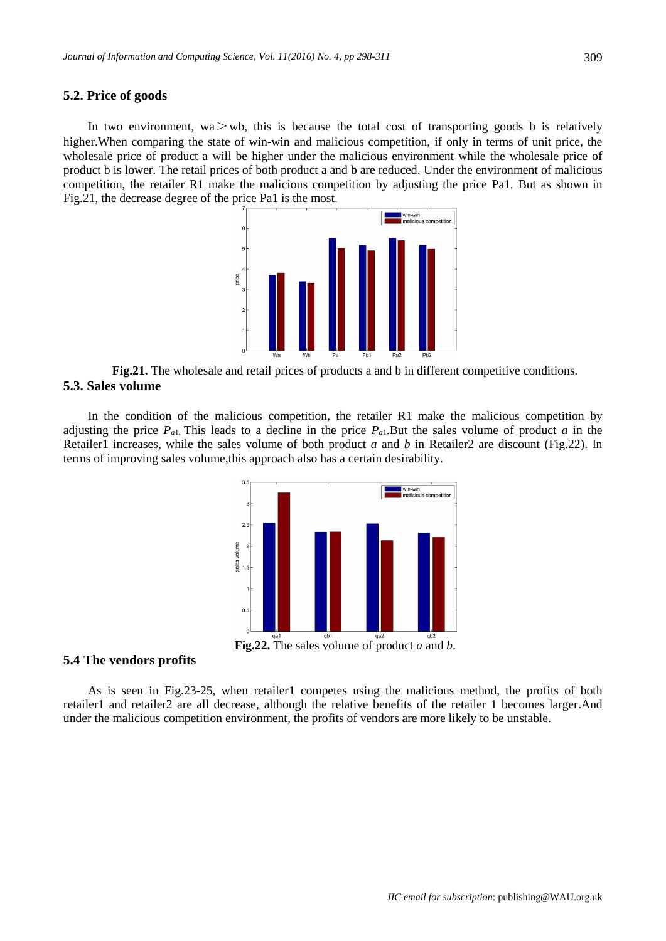## **5.2. Price of goods**

In two environment, wa $>$ wb, this is because the total cost of transporting goods b is relatively higher. When comparing the state of win-win and malicious competition, if only in terms of unit price, the wholesale price of product a will be higher under the malicious environment while the wholesale price of product b is lower. The retail prices of both product a and b are reduced. Under the environment of malicious competition, the retailer R1 make the malicious competition by adjusting the price Pa1. But as shown in Fig.21, the decrease degree of the price Pa1 is the most.



**Fig.21.** The wholesale and retail prices of products a and b in different competitive conditions. **5.3. Sales volume**

In the condition of the malicious competition, the retailer R1 make the malicious competition by adjusting the price *Pa*1. This leads to a decline in the price *Pa*1.But the sales volume of product *a* in the Retailer1 increases, while the sales volume of both product *a* and *b* in Retailer2 are discount (Fig.22). In terms of improving sales volume,this approach also has a certain desirability.



#### **5.4 The vendors profits**

As is seen in Fig.23-25, when retailer1 competes using the malicious method, the profits of both retailer1 and retailer2 are all decrease, although the relative benefits of the retailer 1 becomes larger.And under the malicious competition environment, the profits of vendors are more likely to be unstable.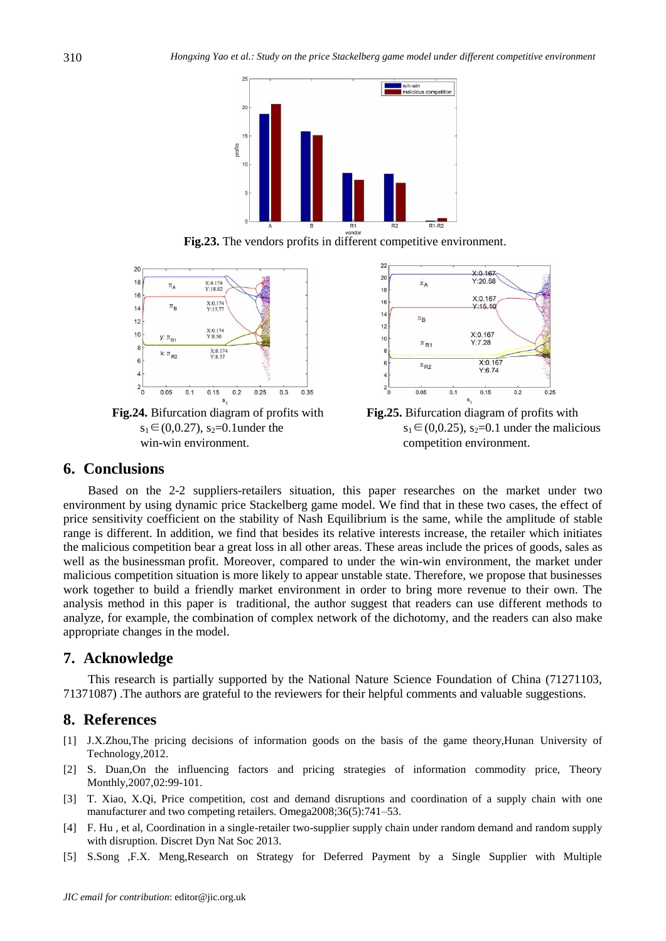





Fig.24. Bifurcation diagram of profits with win-win environment.  $\blacksquare$ 



**Fig.24.** Bifurcation diagram of profits with **Fig.25.** Bifurcation diagram of profits with  $s_1 \in (0,0.27), s_2 = 0.1$ under the s<sub>1</sub> $\in (0,0.25), s_2 = 0.1$  under the malicious

## **6. Conclusions**

Based on the 2-2 suppliers-retailers situation, this paper researches on the market under two environment by using dynamic price Stackelberg game model. We find that in these two cases, the effect of price sensitivity coefficient on the stability of Nash Equilibrium is the same, while the amplitude of stable range is different. In addition, we find that besides its relative interests increase, the retailer which initiates the malicious competition bear a great loss in all other areas. These areas include the prices of goods, sales as well as the businessman profit. Moreover, compared to under the win-win environment, the market under malicious competition situation is more likely to appear unstable state. Therefore, we propose that businesses work together to build a friendly market environment in order to bring more revenue to their own. The analysis method in this paper is traditional, the author suggest that readers can use different methods to analyze, for example, the combination of complex network of the dichotomy, and the readers can also make appropriate changes in the model.

# **7. Acknowledge**

This research is partially supported by the National Nature Science Foundation of China (71271103, 71371087) .The authors are grateful to the reviewers for their helpful comments and valuable suggestions.

## **8. References**

- [1] J.X.Zhou,The pricing decisions of information goods on the basis of the game theory,Hunan University of Technology,2012.
- [2] S. Duan,On the influencing factors and pricing strategies of information commodity price, Theory Monthly,2007,02:99-101.
- [3] T. Xiao, X.Qi, Price competition, cost and demand disruptions and coordination of a supply chain with one manufacturer and two competing retailers. Omega2008;36(5):741–53.
- [4] F. Hu , et al, Coordination in a single-retailer two-supplier supply chain under random demand and random supply with disruption. Discret Dyn Nat Soc 2013.
- [5] S.Song ,F.X. Meng,Research on Strategy for Deferred Payment by a Single Supplier with Multiple